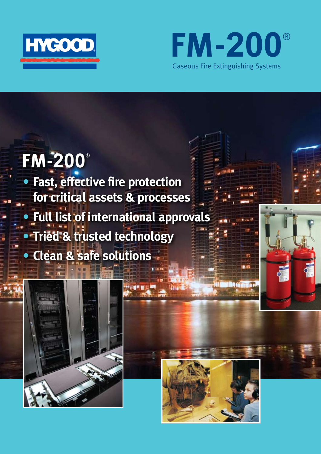



# **FM-200**®

**• Fast, effective fire protection for critical assets & processes • Full list of international approvals • Tried & trusted technology • Clean & safe solutions**

**OHOTHER** 





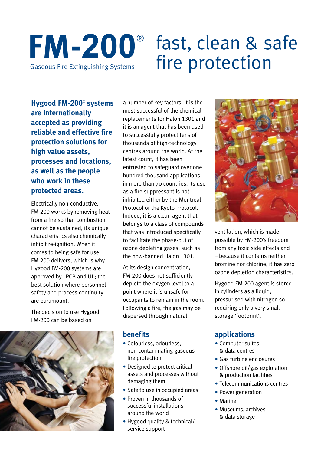## **FM-200**® Gaseous Fire Extinguishing Systems fast, clean & safe fire protection

**Hygood FM-200**®  **systems are internationally accepted as providing reliable and effective fire protection solutions for high value assets, processes and locations, as well as the people who work in these protected areas.**

Electrically non-conductive, FM-200 works by removing heat from a fire so that combustion cannot be sustained, its unique characteristics also chemically inhibit re-ignition. When it comes to being safe for use, FM-200 delivers, which is why Hygood FM-200 systems are approved by LPCB and UL; the best solution where personnel safety and process continuity are paramount.

The decision to use Hygood FM-200 can be based on



a number of key factors: it is the most successful of the chemical replacements for Halon 1301 and it is an agent that has been used to successfully protect tens of thousands of high-technology centres around the world. At the latest count, it has been entrusted to safeguard over one hundred thousand applications in more than 70 countries. Its use as a fire suppressant is not inhibited either by the Montreal Protocol or the Kyoto Protocol. Indeed, it is a clean agent that belongs to a class of compounds that was introduced specifically to facilitate the phase-out of ozone depleting gases, such as the now-banned Halon 1301.

At its design concentration, FM-200 does not sufficiently deplete the oxygen level to a point where it is unsafe for occupants to remain in the room. Following a fire, the gas may be dispersed through natural

#### **benefits**

- Colourless, odourless, non-contaminating gaseous fire protection
- Designed to protect critical assets and processes without damaging them
- Safe to use in occupied areas
- Proven in thousands of successful installations around the world
- Hygood quality & technical/ service support



ventilation, which is made possible by FM-200's freedom from any toxic side effects and – because it contains neither bromine nor chlorine, it has zero ozone depletion characteristics.

Hygood FM-200 agent is stored in cylinders as a liquid, pressurised with nitrogen so requiring only a very small storage 'footprint'.

### **applications**

- Computer suites & data centres
- Gas turbine enclosures
- Offshore oil/gas exploration & production facilities
- Telecommunications centres
- Power generation
- Marine
- Museums, archives & data storage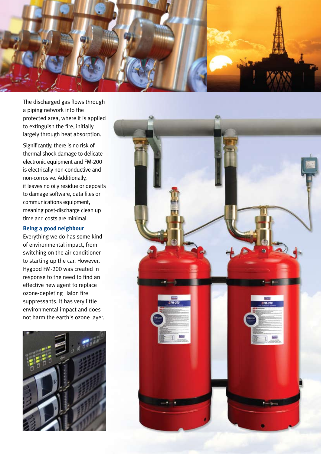

The discharged gas flows through a piping network into the protected area, where it is applied to extinguish the fire, initially largely through heat absorption.

Significantly, there is no risk of thermal shock damage to delicate electronic equipment and FM-200 is electrically non-conductive and non-corrosive. Additionally, it leaves no oily residue or deposits to damage software, data files or communications equipment, meaning post-discharge clean up time and costs are minimal.

#### **Being a good neighbour**

Everything we do has some kind of environmental impact, from switching on the air conditioner to starting up the car. However, Hygood FM-200 was created in response to the need to find an effective new agent to replace ozone-depleting Halon fire suppressants. It has very little environmental impact and does not harm the earth's ozone layer.